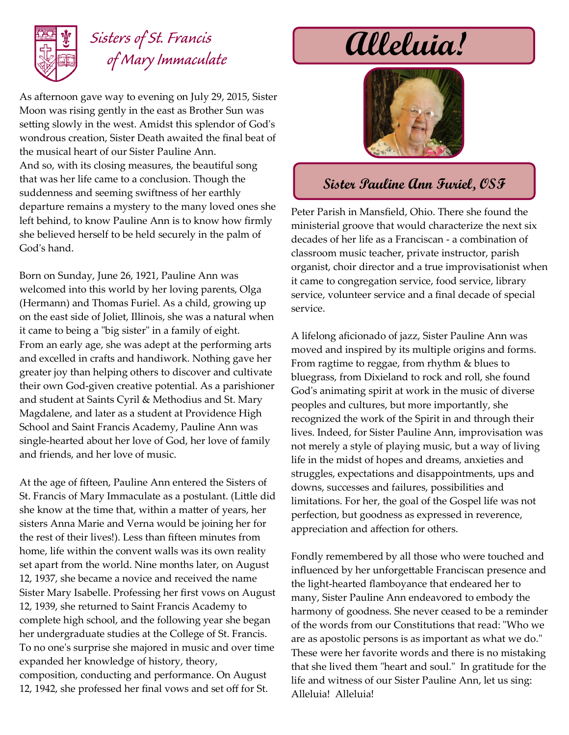

## *Sisters of St. Francis of Mary Immaculate*

As afternoon gave way to evening on July 29, 2015, Sister Moon was rising gently in the east as Brother Sun was setting slowly in the west. Amidst this splendor of God's wondrous creation, Sister Death awaited the final beat of the musical heart of our Sister Pauline Ann. And so, with its closing measures, the beautiful song that was her life came to a conclusion. Though the suddenness and seeming swiftness of her earthly departure remains a mystery to the many loved ones she left behind, to know Pauline Ann is to know how firmly she believed herself to be held securely in the palm of God's hand.

Born on Sunday, June 26, 1921, Pauline Ann was welcomed into this world by her loving parents, Olga (Hermann) and Thomas Furiel. As a child, growing up on the east side of Joliet, Illinois, she was a natural when it came to being a "big sister" in a family of eight. From an early age, she was adept at the performing arts and excelled in crafts and handiwork. Nothing gave her greater joy than helping others to discover and cultivate their own God-given creative potential. As a parishioner and student at Saints Cyril & Methodius and St. Mary Magdalene, and later as a student at Providence High School and Saint Francis Academy, Pauline Ann was single-hearted about her love of God, her love of family and friends, and her love of music.

At the age of fifteen, Pauline Ann entered the Sisters of St. Francis of Mary Immaculate as a postulant. (Little did she know at the time that, within a matter of years, her sisters Anna Marie and Verna would be joining her for the rest of their lives!). Less than fifteen minutes from home, life within the convent walls was its own reality set apart from the world. Nine months later, on August 12, 1937, she became a novice and received the name Sister Mary Isabelle. Professing her first vows on August 12, 1939, she returned to Saint Francis Academy to complete high school, and the following year she began her undergraduate studies at the College of St. Francis. To no one's surprise she majored in music and over time expanded her knowledge of history, theory, composition, conducting and performance. On August 12, 1942, she professed her final vows and set off for St.

## **Alleluia!**



## **Sister Pauline Ann Furiel, OSF**

Peter Parish in Mansfield, Ohio. There she found the ministerial groove that would characterize the next six decades of her life as a Franciscan - a combination of classroom music teacher, private instructor, parish organist, choir director and a true improvisationist when it came to congregation service, food service, library service, volunteer service and a final decade of special service.

A lifelong aficionado of jazz, Sister Pauline Ann was moved and inspired by its multiple origins and forms. From ragtime to reggae, from rhythm & blues to bluegrass, from Dixieland to rock and roll, she found God's animating spirit at work in the music of diverse peoples and cultures, but more importantly, she recognized the work of the Spirit in and through their lives. Indeed, for Sister Pauline Ann, improvisation was not merely a style of playing music, but a way of living life in the midst of hopes and dreams, anxieties and struggles, expectations and disappointments, ups and downs, successes and failures, possibilities and limitations. For her, the goal of the Gospel life was not perfection, but goodness as expressed in reverence, appreciation and affection for others.

Fondly remembered by all those who were touched and influenced by her unforgettable Franciscan presence and the light-hearted flamboyance that endeared her to many, Sister Pauline Ann endeavored to embody the harmony of goodness. She never ceased to be a reminder of the words from our Constitutions that read: "Who we are as apostolic persons is as important as what we do." These were her favorite words and there is no mistaking that she lived them "heart and soul." In gratitude for the life and witness of our Sister Pauline Ann, let us sing: Alleluia! Alleluia!